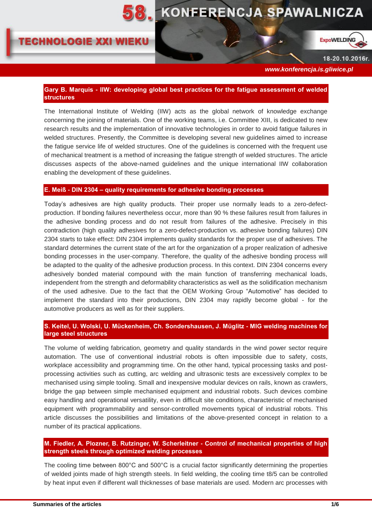

# **TECHNOLOGIE XXI WIEKU**



18-20.10.2016r.

 *www.konferencja.is.gliwice.pl*

### **Gary B. Marquis - IIW: developing global best practices for the fatigue assessment of welded structures**

The International Institute of Welding (IIW) acts as the global network of knowledge exchange concerning the joining of materials. One of the working teams, i.e. Committee XIII, is dedicated to new research results and the implementation of innovative technologies in order to avoid fatigue failures in welded structures. Presently, the Committee is developing several new guidelines aimed to increase the fatigue service life of welded structures. One of the guidelines is concerned with the frequent use of mechanical treatment is a method of increasing the fatigue strength of welded structures. The article discusses aspects of the above-named guidelines and the unique international IIW collaboration enabling the development of these guidelines.

#### **E. Meiß - DIN 2304 – quality requirements for adhesive bonding processes**

Today's adhesives are high quality products. Their proper use normally leads to a zero-defectproduction. If bonding failures nevertheless occur, more than 90 % these failures result from failures in the adhesive bonding process and do not result from failures of the adhesive. Precisely in this contradiction (high quality adhesives for a zero-defect-production vs. adhesive bonding failures) DIN 2304 starts to take effect: DIN 2304 implements quality standards for the proper use of adhesives. The standard determines the current state of the art for the organization of a proper realization of adhesive bonding processes in the user-company. Therefore, the quality of the adhesive bonding process will be adapted to the quality of the adhesive production process. In this context. DIN 2304 concerns every adhesively bonded material compound with the main function of transferring mechanical loads, independent from the strength and deformability characteristics as well as the solidification mechanism of the used adhesive. Due to the fact that the OEM Working Group "Automotive" has decided to implement the standard into their productions, DIN 2304 may rapidly become global - for the automotive producers as well as for their suppliers.

## **S. Keitel, U. Wolski, U. Mückenheim, Ch. Sondershausen, J. Müglitz - MIG welding machines for large steel structures**

The volume of welding fabrication, geometry and quality standards in the wind power sector require automation. The use of conventional industrial robots is often impossible due to safety, costs, workplace accessibility and programming time. On the other hand, typical processing tasks and postprocessing activities such as cutting, arc welding and ultrasonic tests are excessively complex to be mechanised using simple tooling. Small and inexpensive modular devices on rails, known as crawlers, bridge the gap between simple mechanised equipment and industrial robots. Such devices combine easy handling and operational versatility, even in difficult site conditions, characteristic of mechanised equipment with programmability and sensor-controlled movements typical of industrial robots. This article discusses the possibilities and limitations of the above-presented concept in relation to a number of its practical applications.

# **M. Fiedler, A. Plozner, B. Rutzinger, W. Scherleitner - Control of mechanical properties of high strength steels through optimized welding processes**

The cooling time between 800°C and 500°C is a crucial factor significantly determining the properties of welded joints made of high strength steels. In field welding, the cooling time t8/5 can be controlled by heat input even if different wall thicknesses of base materials are used. Modern arc processes with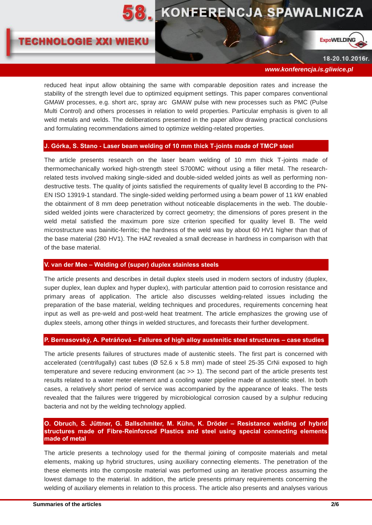

# **TECHNOLOGIE XXI WIEKU**



18-20.10.2016r.

 *www.konferencja.is.gliwice.pl*

reduced heat input allow obtaining the same with comparable deposition rates and increase the stability of the strength level due to optimized equipment settings. This paper compares conventional GMAW processes, e.g. short arc, spray arc GMAW pulse with new processes such as PMC (Pulse Multi Control) and others processes in relation to weld properties. Particular emphasis is given to all weld metals and welds. The deliberations presented in the paper allow drawing practical conclusions and formulating recommendations aimed to optimize welding-related properties.

#### **J. Górka, S. Stano - Laser beam welding of 10 mm thick T-joints made of TMCP steel**

The article presents research on the laser beam welding of 10 mm thick T-joints made of thermomechanically worked high-strength steel S700MC without using a filler metal. The researchrelated tests involved making single-sided and double-sided welded joints as well as performing nondestructive tests. The quality of joints satisfied the requirements of quality level B according to the PN-EN ISO 13919-1 standard. The single-sided welding performed using a beam power of 11 kW enabled the obtainment of 8 mm deep penetration without noticeable displacements in the web. The doublesided welded joints were characterized by correct geometry; the dimensions of pores present in the weld metal satisfied the maximum pore size criterion specified for quality level B. The weld microstructure was bainitic-ferritic; the hardness of the weld was by about 60 HV1 higher than that of the base material (280 HV1). The HAZ revealed a small decrease in hardness in comparison with that of the base material.

#### **V. van der Mee – Welding of (super) duplex stainless steels**

The article presents and describes in detail duplex steels used in modern sectors of industry (duplex, super duplex, lean duplex and hyper duplex), with particular attention paid to corrosion resistance and primary areas of application. The article also discusses welding-related issues including the preparation of the base material, welding techniques and procedures, requirements concerning heat input as well as pre-weld and post-weld heat treatment. The article emphasizes the growing use of duplex steels, among other things in welded structures, and forecasts their further development.

#### **P. Bernasovský, A. Petráňová – Failures of high alloy austenitic steel structures – case studies**

The article presents failures of structures made of austenitic steels. The first part is concerned with accelerated (centrifugally) cast tubes (Ø 52.6 x 5.8 mm) made of steel 25-35 CrNi exposed to high temperature and severe reducing environment (ac >> 1). The second part of the article presents test results related to a water meter element and a cooling water pipeline made of austenitic steel. In both cases, a relatively short period of service was accompanied by the appearance of leaks. The tests revealed that the failures were triggered by microbiological corrosion caused by a sulphur reducing bacteria and not by the welding technology applied.

# **O. Obruch, S. Jüttner, G. Ballschmiter, M. Kühn, K. Dröder – Resistance welding of hybrid structures made of Fibre-Reinforced Plastics and steel using special connecting elements made of metal**

The article presents a technology used for the thermal joining of composite materials and metal elements, making up hybrid structures, using auxiliary connecting elements. The penetration of the these elements into the composite material was performed using an iterative process assuming the lowest damage to the material. In addition, the article presents primary requirements concerning the welding of auxiliary elements in relation to this process. The article also presents and analyses various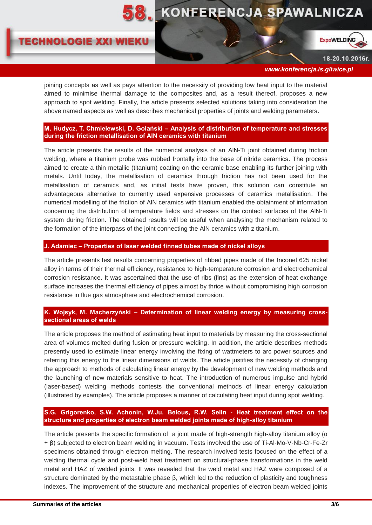# **8. KONFERENCJA SPAWALNICZA**

# **TECHNOLOGIE XXI WIEKU**



18-20.10.2016r.

 *www.konferencja.is.gliwice.pl*

joining concepts as well as pays attention to the necessity of providing low heat input to the material aimed to minimise thermal damage to the composites and, as a result thereof, proposes a new approach to spot welding. Finally, the article presents selected solutions taking into consideration the above named aspects as well as describes mechanical properties of joints and welding parameters.

## **M. Hudycz, T. Chmielewski, D. Golański – Analysis of distribution of temperature and stresses during the friction metallisation of AlN ceramics with titanium**

The article presents the results of the numerical analysis of an AlN-Ti joint obtained during friction welding, where a titanium probe was rubbed frontally into the base of nitride ceramics. The process aimed to create a thin metallic (titanium) coating on the ceramic base enabling its further joining with metals. Until today, the metallisation of ceramics through friction has not been used for the metallisation of ceramics and, as initial tests have proven, this solution can constitute an advantageous alternative to currently used expensive processes of ceramics metallisation. The numerical modelling of the friction of AlN ceramics with titanium enabled the obtainment of information concerning the distribution of temperature fields and stresses on the contact surfaces of the AlN-Ti system during friction. The obtained results will be useful when analysing the mechanism related to the formation of the interpass of the joint connecting the AlN ceramics with z titanium.

#### **J. Adamiec – Properties of laser welded finned tubes made of nickel alloys**

The article presents test results concerning properties of ribbed pipes made of the Inconel 625 nickel alloy in terms of their thermal efficiency, resistance to high-temperature corrosion and electrochemical corrosion resistance. It was ascertained that the use of ribs (fins) as the extension of heat exchange surface increases the thermal efficiency of pipes almost by thrice without compromising high corrosion resistance in flue gas atmosphere and electrochemical corrosion.

# **K. Wojsyk, M. Macherzyński – Determination of linear welding energy by measuring crosssectional areas of welds**

The article proposes the method of estimating heat input to materials by measuring the cross-sectional area of volumes melted during fusion or pressure welding. In addition, the article describes methods presently used to estimate linear energy involving the fixing of wattmeters to arc power sources and referring this energy to the linear dimensions of welds. The article justifies the necessity of changing the approach to methods of calculating linear energy by the development of new welding methods and the launching of new materials sensitive to heat. The introduction of numerous impulse and hybrid (laser-based) welding methods contests the conventional methods of linear energy calculation (illustrated by examples). The article proposes a manner of calculating heat input during spot welding.

# **S.G. Grigorenko, S.W. Achonin, W.Ju. Belous, R.W. Selin - Heat treatment effect on the structure and properties of electron beam welded joints made of high-alloy titanium**

The article presents the specific formation of a joint made of high-strength high-alloy titanium alloy ( $\alpha$ ) + β) subjected to electron beam welding in vacuum. Tests involved the use of Ti-Al-Mo-V-Nb-Cr-Fe-Zr specimens obtained through electron melting. The research involved tests focused on the effect of a welding thermal cycle and post-weld heat treatment on structural-phase transformations in the weld metal and HAZ of welded joints. It was revealed that the weld metal and HAZ were composed of a structure dominated by the metastable phase β, which led to the reduction of plasticity and toughness indexes. The improvement of the structure and mechanical properties of electron beam welded joints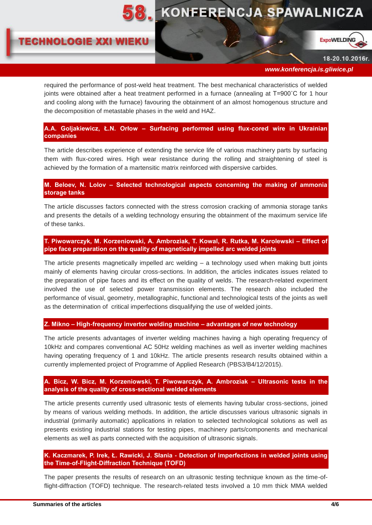





18-20.10.2016r.

 *www.konferencja.is.gliwice.pl*

required the performance of post-weld heat treatment. The best mechanical characteristics of welded joints were obtained after a heat treatment performed in a furnace (annealing at Т=900˚C for 1 hour and cooling along with the furnace) favouring the obtainment of an almost homogenous structure and the decomposition of metastable phases in the weld and HAZ.

**A.A. Goljakiewicz, Ł.N. Orłow – Surfacing performed using flux-cored wire in Ukrainian companies**

The article describes experience of extending the service life of various machinery parts by surfacing them with flux-cored wires. High wear resistance during the rolling and straightening of steel is achieved by the formation of a martensitic matrix reinforced with dispersive carbides.

# **M. Beloev, N. Lolov – Selected technological aspects concerning the making of ammonia storage tanks**

The article discusses factors connected with the stress corrosion cracking of ammonia storage tanks and presents the details of a welding technology ensuring the obtainment of the maximum service life of these tanks.

**T. Piwowarczyk, M. Korzeniowski, A. Ambroziak, T. Kowal, R. Rutka, M. Karolewski – Effect of pipe face preparation on the quality of magnetically impelled arc welded joints**

The article presents magnetically impelled arc welding – a technology used when making butt joints mainly of elements having circular cross-sections. In addition, the articles indicates issues related to the preparation of pipe faces and its effect on the quality of welds. The research-related experiment involved the use of selected power transmission elements. The research also included the performance of visual, geometry, metallographic, functional and technological tests of the joints as well as the determination of critical imperfections disqualifying the use of welded joints.

# **Z. Mikno – High-frequency invertor welding machine – advantages of new technology**

The article presents advantages of inverter welding machines having a high operating frequency of 10kHz and compares conventional AC 50Hz welding machines as well as inverter welding machines having operating frequency of 1 and 10kHz. The article presents research results obtained within a currently implemented project of Programme of Applied Research (PBS3/B4/12/2015).

# **A. Bicz, W. Bicz, M. Korzeniowski, T. Piwowarczyk, A. Ambroziak – Ultrasonic tests in the analysis of the quality of cross-sectional welded elements**

The article presents currently used ultrasonic tests of elements having tubular cross-sections, joined by means of various welding methods. In addition, the article discusses various ultrasonic signals in industrial (primarily automatic) applications in relation to selected technological solutions as well as presents existing industrial stations for testing pipes, machinery parts/components and mechanical elements as well as parts connected with the acquisition of ultrasonic signals.

# **K. Kaczmarek, P. Irek, Ł. Rawicki, J. Słania - Detection of imperfections in welded joints using the Time-of-Flight-Diffraction Technique (TOFD)**

The paper presents the results of research on an ultrasonic testing technique known as the time-offlight-diffraction (TOFD) technique. The research-related tests involved a 10 mm thick MMA welded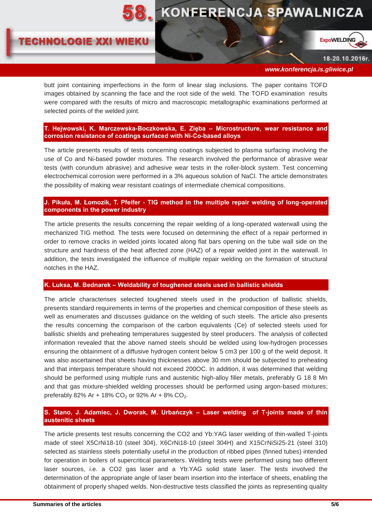# **8. KONFERENCJA SPAWALNICZA**

# **TECHNOLOGIE XXI WIEKU**



18-20.10.2016r.

 *www.konferencja.is.gliwice.pl*

butt joint containing imperfections in the form of linear slag inclusions. The paper contains TOFD images obtained by scanning the face and the root side of the weld. The TOFD examination results were compared with the results of micro and macroscopic metallographic examinations performed at selected points of the welded joint.

**T. Hejwowski, K. Marczewska-Boczkowska, E. Zięba – Microstructure, wear resistance and corrosion resistance of coatings surfaced with Ni-Co-based alloys** 

The article presents results of tests concerning coatings subjected to plasma surfacing involving the use of Co and Ni-based powder mixtures. The research involved the performance of abrasive wear tests (with corundum abrasive) and adhesive wear tests in the roller-block system. Test concerning electrochemical corrosion were performed in a 3% aqueous solution of NaCl. The article demonstrates the possibility of making wear resistant coatings of intermediate chemical compositions.

# **J. Pikuła, M. Łomozik, T. Pfeifer - TIG method in the multiple repair welding of long-operated components in the power industry**

The article presents the results concerning the repair welding of a long-operated waterwall using the mechanized TIG method. The tests were focused on determining the effect of a repair performed in order to remove cracks in welded joints located along flat bars opening on the tube wall side on the structure and hardness of the heat affected zone (HAZ) of a repair welded joint in the waterwall. In addition, the tests investigated the influence of multiple repair welding on the formation of structural notches in the HAZ.

### **K. Luksa, M. Bednarek – Weldability of toughened steels used in ballistic shields**

The article characterises selected toughened steels used in the production of ballistic shields, presents standard requirements in terms of the properties and chemical composition of these steels as well as enumerates and discusses guidance on the welding of such steels. The article also presents the results concerning the comparison of the carbon equivalents (Ce) of selected steels used for ballistic shields and preheating temperatures suggested by steel producers. The analysis of collected information revealed that the above named steels should be welded using low-hydrogen processes ensuring the obtainment of a diffusive hydrogen content below 5 cm3 per 100 g of the weld deposit. It was also ascertained that sheets having thicknesses above 30 mm should be subjected to preheating and that interpass temperature should not exceed 200OC. In addition, it was determined that welding should be performed using multiple runs and austenitic high-alloy filler metals, preferably G 18 8 Mn and that gas mixture-shielded welding processes should be performed using argon-based mixtures; preferably 82% Ar + 18%  $CO_2$  or 92% Ar + 8%  $CO_2$ .

# **S. Stano, J. Adamiec, J. Dworak, M. Urbańczyk – Laser welding of T-joints made of thin austenitic sheets**

The article presents test results concerning the CO2 and Yb:YAG laser welding of thin-walled T-joints made of steel X5CrNi18-10 (steel 304), X6CrNi18-10 (steel 304H) and X15CrNiSi25-21 (steel 310) selected as stainless steels potentially useful in the production of ribbed pipes (finned tubes) intended for operation in boilers of supercritical parameters. Welding tests were performed using two different laser sources, i.e. a CO2 gas laser and a Yb:YAG solid state laser. The tests involved the determination of the appropriate angle of laser beam insertion into the interface of sheets, enabling the obtainment of properly shaped welds. Non-destructive tests classified the joints as representing quality